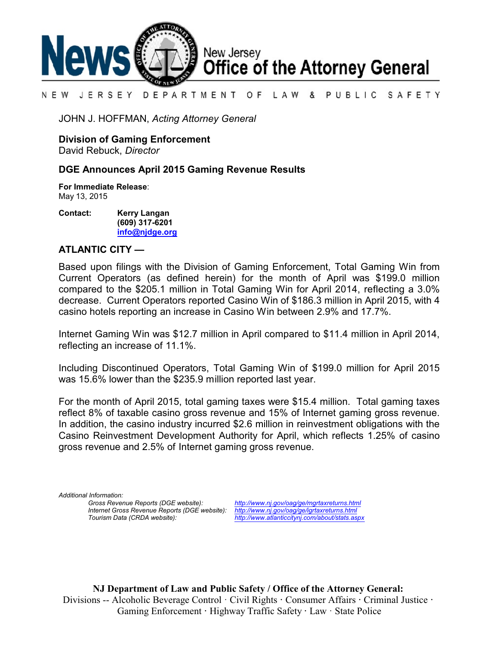

#### N E W JERSEY DEPARTMENT OF LAW & PUBLIC SAFETY

JOHN J. HOFFMAN, *Acting Attorney General*

**Division of Gaming Enforcement**

David Rebuck, *Director*

# **DGE Announces April 2015 Gaming Revenue Results**

**For Immediate Release**: May 13, 2015

**Contact: Kerry Langan (609) 317-6201 [info@njdge.org](file:///|//info@njdge.org)**

# **ATLANTIC CITY —**

Based upon filings with the Division of Gaming Enforcement, Total Gaming Win from Current Operators (as defined herein) for the month of April was \$199.0 million compared to the \$205.1 million in Total Gaming Win for April 2014, reflecting a 3.0% decrease. Current Operators reported Casino Win of \$186.3 million in April 2015, with 4 casino hotels reporting an increase in Casino Win between 2.9% and 17.7%.

Internet Gaming Win was \$12.7 million in April compared to \$11.4 million in April 2014, reflecting an increase of 11.1%.

Including Discontinued Operators, Total Gaming Win of \$199.0 million for April 2015 was 15.6% lower than the \$235.9 million reported last year.

For the month of April 2015, total gaming taxes were \$15.4 million. Total gaming taxes reflect 8% of taxable casino gross revenue and 15% of Internet gaming gross revenue. In addition, the casino industry incurred \$2.6 million in reinvestment obligations with the Casino Reinvestment Development Authority for April, which reflects 1.25% of casino gross revenue and 2.5% of Internet gaming gross revenue.

*Additional Information: Internet Gross Revenue Reports (DGE website):*<br>Tourism Data (CRDA website):

*Gross Revenue Reports (DGE website): <http://www.nj.gov/oag/ge/mgrtaxreturns.html> Tourism Data (CRDA website): <http://www.atlanticcitynj.com/about/stats.aspx>*

**NJ Department of Law and Public Safety / Office of the Attorney General:** Divisions -- Alcoholic Beverage Control · Civil Rights **·** Consumer Affairs **·** Criminal Justice **·**  Gaming Enforcement **·** Highway Traffic Safety **·** Law · State Police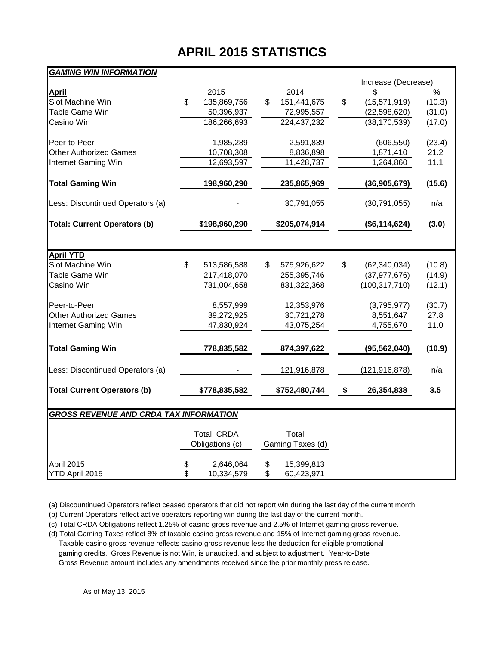# **APRIL 2015 STATISTICS**

# *GAMING WIN INFORMATION*

|                                               |                   |                         |    |                        | Increase (Decrease) |                         |                |  |
|-----------------------------------------------|-------------------|-------------------------|----|------------------------|---------------------|-------------------------|----------------|--|
| <b>April</b>                                  |                   | 2015                    |    | 2014                   |                     | \$                      | $\%$           |  |
| Slot Machine Win                              | \$                | 135,869,756             | \$ | 151,441,675            | \$                  | (15, 571, 919)          | (10.3)         |  |
| Table Game Win                                |                   | 50,396,937              |    | 72,995,557             |                     | (22, 598, 620)          | (31.0)         |  |
| Casino Win                                    |                   | 186,266,693             |    | 224,437,232            |                     | (38, 170, 539)          | (17.0)         |  |
| Peer-to-Peer                                  |                   |                         |    |                        |                     |                         |                |  |
| <b>Other Authorized Games</b>                 |                   | 1,985,289<br>10,708,308 |    | 2,591,839<br>8,836,898 |                     | (606, 550)<br>1,871,410 | (23.4)<br>21.2 |  |
| Internet Gaming Win                           |                   |                         |    |                        |                     |                         | 11.1           |  |
|                                               |                   | 12,693,597              |    | 11,428,737             |                     | 1,264,860               |                |  |
| <b>Total Gaming Win</b>                       |                   | 198,960,290             |    | 235,865,969            |                     | (36, 905, 679)          | (15.6)         |  |
| Less: Discontinued Operators (a)              |                   |                         |    | 30,791,055             |                     | (30, 791, 055)          | n/a            |  |
| <b>Total: Current Operators (b)</b>           |                   | \$198,960,290           |    | \$205,074,914          |                     | (\$6,114,624)           | (3.0)          |  |
|                                               |                   |                         |    |                        |                     |                         |                |  |
| <b>April YTD</b>                              |                   |                         |    |                        |                     |                         |                |  |
| Slot Machine Win                              | \$                | 513,586,588             | \$ | 575,926,622            | \$                  | (62, 340, 034)          | (10.8)         |  |
| Table Game Win                                |                   | 217,418,070             |    | 255,395,746            |                     | (37, 977, 676)          | (14.9)         |  |
| Casino Win                                    |                   | 731,004,658             |    | 831,322,368            |                     | (100, 317, 710)         | (12.1)         |  |
| Peer-to-Peer                                  |                   | 8,557,999               |    | 12,353,976             |                     | (3,795,977)             | (30.7)         |  |
| <b>Other Authorized Games</b>                 |                   | 39,272,925              |    | 30,721,278             |                     | 8,551,647               | 27.8           |  |
| Internet Gaming Win                           |                   | 47,830,924              |    | 43,075,254             |                     | 4,755,670               | 11.0           |  |
| <b>Total Gaming Win</b>                       |                   | 778,835,582             |    | 874,397,622            |                     | (95, 562, 040)          | (10.9)         |  |
| Less: Discontinued Operators (a)              |                   |                         |    | 121,916,878            |                     | (121, 916, 878)         | n/a            |  |
| <b>Total Current Operators (b)</b>            |                   | \$778,835,582           |    | \$752,480,744          | \$                  | 26,354,838              | 3.5            |  |
| <b>GROSS REVENUE AND CRDA TAX INFORMATION</b> |                   |                         |    |                        |                     |                         |                |  |
|                                               |                   |                         |    |                        |                     |                         |                |  |
|                                               | <b>Total CRDA</b> |                         |    | Total                  |                     |                         |                |  |
|                                               | Obligations (c)   |                         |    | Gaming Taxes (d)       |                     |                         |                |  |
| April 2015                                    | \$                | 2,646,064               | \$ | 15,399,813             |                     |                         |                |  |
| YTD April 2015                                | \$                | 10,334,579              | \$ | 60,423,971             |                     |                         |                |  |

(a) Discountinued Operators reflect ceased operators that did not report win during the last day of the current month.

(b) Current Operators reflect active operators reporting win during the last day of the current month.

(c) Total CRDA Obligations reflect 1.25% of casino gross revenue and 2.5% of Internet gaming gross revenue.

(d) Total Gaming Taxes reflect 8% of taxable casino gross revenue and 15% of Internet gaming gross revenue. Taxable casino gross revenue reflects casino gross revenue less the deduction for eligible promotional gaming credits. Gross Revenue is not Win, is unaudited, and subject to adjustment. Year-to-Date Gross Revenue amount includes any amendments received since the prior monthly press release.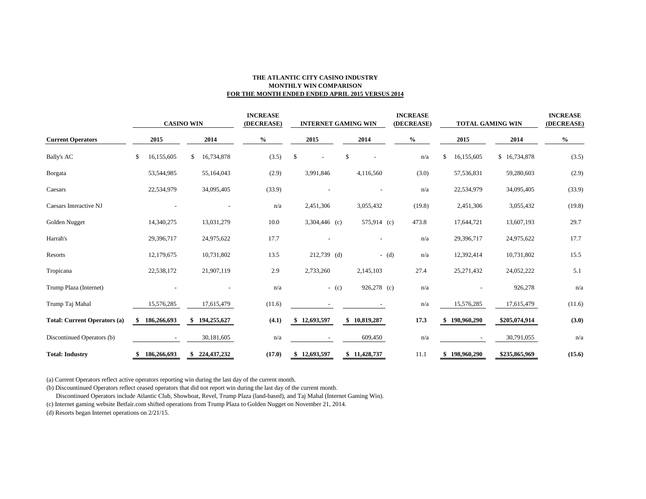### **THE ATLANTIC CITY CASINO INDUSTRY MONTHLY WIN COMPARISON FOR THE MONTH ENDED ENDED APRIL 2015 VERSUS 2014**

|                                     | <b>CASINO WIN</b> |                   | <b>INCREASE</b><br>(DECREASE) | <b>INTERNET GAMING WIN</b>     |         |              | <b>INCREASE</b><br>(DECREASE) | <b>TOTAL GAMING WIN</b> |               | <b>INCREASE</b><br>(DECREASE) |
|-------------------------------------|-------------------|-------------------|-------------------------------|--------------------------------|---------|--------------|-------------------------------|-------------------------|---------------|-------------------------------|
| <b>Current Operators</b>            | 2015              | 2014              | $\%$                          | 2015                           |         | 2014         | $\%$                          | 2015                    | 2014          | $\frac{0}{0}$                 |
| <b>Bally's AC</b>                   | S<br>16,155,605   | \$<br>16,734,878  | (3.5)                         | \$<br>$\overline{\phantom{a}}$ | \$      |              | n/a                           | \$<br>16,155,605        | \$16,734,878  | (3.5)                         |
| <b>Borgata</b>                      | 53,544,985        | 55,164,043        | (2.9)                         | 3,991,846                      |         | 4,116,560    | (3.0)                         | 57,536,831              | 59,280,603    | (2.9)                         |
| Caesars                             | 22,534,979        | 34,095,405        | (33.9)                        |                                |         |              | n/a                           | 22,534,979              | 34,095,405    | (33.9)                        |
| Caesars Interactive NJ              |                   |                   | n/a                           | 2,451,306                      |         | 3,055,432    | (19.8)                        | 2,451,306               | 3,055,432     | (19.8)                        |
| Golden Nugget                       | 14,340,275        | 13,031,279        | 10.0                          | $3,304,446$ (c)                |         | 575,914 (c)  | 473.8                         | 17,644,721              | 13,607,193    | 29.7                          |
| Harrah's                            | 29,396,717        | 24,975,622        | 17.7                          |                                |         |              | n/a                           | 29,396,717              | 24,975,622    | 17.7                          |
| Resorts                             | 12,179,675        | 10,731,802        | 13.5                          | 212,739 (d)                    |         | $-$ (d)      | n/a                           | 12,392,414              | 10,731,802    | 15.5                          |
| Tropicana                           | 22,538,172        | 21,907,119        | 2.9                           | 2,733,260                      |         | 2,145,103    | 27.4                          | 25,271,432              | 24,052,222    | 5.1                           |
| Trump Plaza (Internet)              |                   |                   | n/a                           |                                | $-$ (c) | 926,278 (c)  | n/a                           |                         | 926,278       | n/a                           |
| Trump Taj Mahal                     | 15,576,285        | 17,615,479        | (11.6)                        |                                |         |              | n/a                           | 15,576,285              | 17,615,479    | (11.6)                        |
| <b>Total: Current Operators (a)</b> | 186,266,693       | 194,255,627       | (4.1)                         | 12,693,597                     |         | \$10,819,287 | 17.3                          | \$198,960,290           | \$205,074,914 | (3.0)                         |
| Discontinued Operators (b)          |                   | 30,181,605        | n/a                           |                                |         | 609,450      | n/a                           |                         | 30,791,055    | n/a                           |
| <b>Total: Industry</b>              | 186,266,693       | 224,437,232<br>\$ | (17.0)                        | \$12,693,597                   |         | \$11,428,737 | 11.1                          | \$198,960,290           | \$235,865,969 | (15.6)                        |

(a) Current Operators reflect active operators reporting win during the last day of the current month.

(b) Discountinued Operators reflect ceased operators that did not report win during the last day of the current month.

Discontinued Operators include Atlantic Club, Showboat, Revel, Trump Plaza (land-based), and Taj Mahal (Internet Gaming Win).

(c) Internet gaming website Betfair.com shifted operations from Trump Plaza to Golden Nugget on November 21, 2014.

(d) Resorts began Internet operations on 2/21/15.